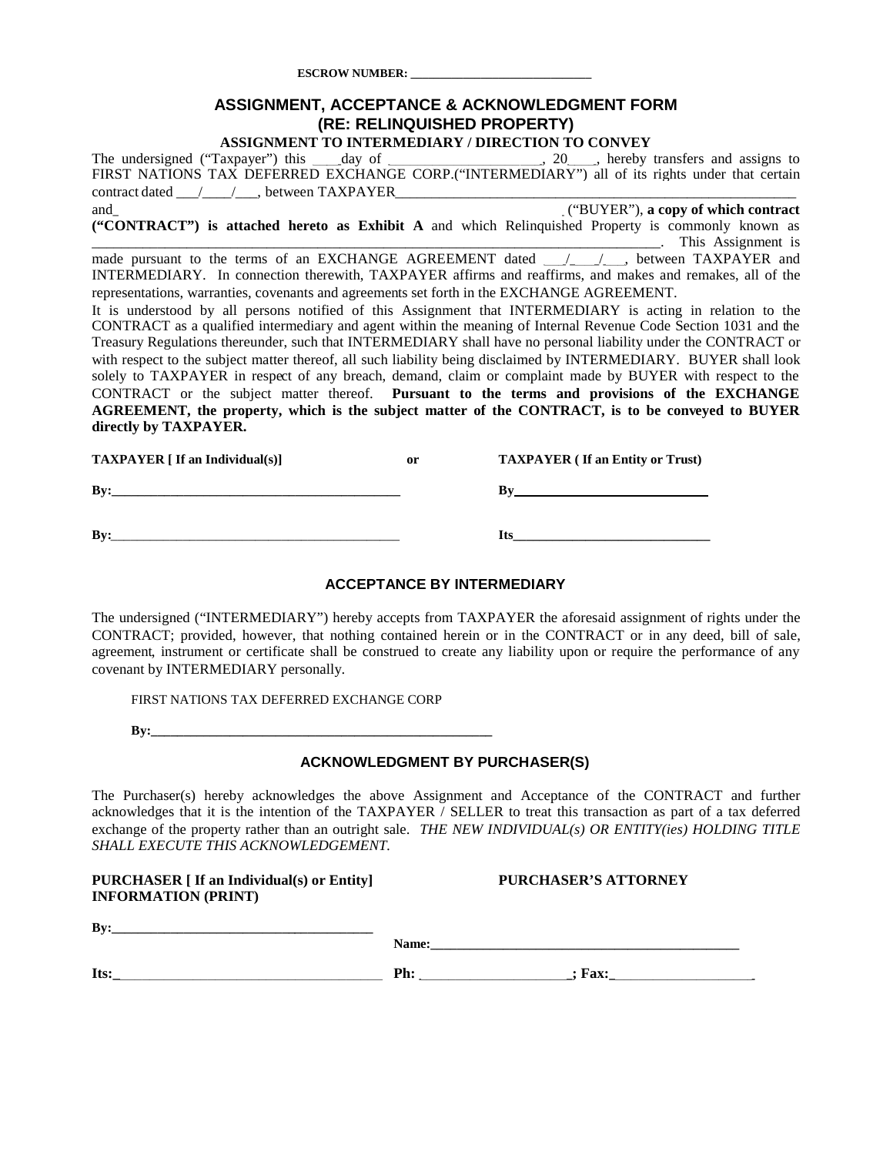**ESCROW NUMBER: \_\_\_\_\_\_\_\_\_\_\_\_\_\_\_\_\_\_\_\_\_\_\_\_\_\_\_\_\_\_\_**

### **ASSIGNMENT, ACCEPTANCE & ACKNOWLEDGMENT FORM (RE: RELINQUISHED PROPERTY)**

**ASSIGNMENT TO INTERMEDIARY / DIRECTION TO CONVEY** The undersigned ("Taxpayer") this \_\_\_\_day of \_\_\_\_\_\_\_\_\_\_\_\_\_\_\_\_\_\_, 20\_\_\_, hereby transfers and assigns to FIRST NATIONS TAX DEFERRED EXCHANGE CORP.("INTERMEDIARY") all of its rights under that certain contract dated  $\qquad / \qquad / \qquad$ , between TAXPAYER and\_\_\_\_\_\_\_\_\_\_\_\_\_\_\_\_\_\_\_\_\_\_\_\_\_\_\_\_\_\_\_\_\_\_\_\_\_\_\_\_\_\_\_\_\_\_\_\_\_\_\_\_\_\_\_\_\_\_\_\_\_\_ ("BUYER"), **a copy of which contract ("CONTRACT") is attached hereto as Exhibit A** and which Relinquished Property is commonly known as

\_\_\_\_\_\_\_\_\_\_\_\_\_\_\_\_\_\_\_\_\_\_\_\_\_\_\_\_\_\_\_\_\_\_\_\_\_\_\_\_\_\_\_\_\_\_\_\_\_\_\_\_\_\_\_\_\_\_\_\_\_\_\_\_\_\_\_\_\_\_\_\_\_\_\_\_\_\_. This Assignment is made pursuant to the terms of an EXCHANGE AGREEMENT dated  $\frac{1}{\sqrt{1-\frac{1}{2}}}\$  between TAXPAYER and INTERMEDIARY. In connection therewith, TAXPAYER affirms and reaffirms, and makes and remakes, all of the representations, warranties, covenants and agreements set forth in the EXCHANGE AGREEMENT.

It is understood by all persons notified of this Assignment that INTERMEDIARY is acting in relation to the CONTRACT as a qualified intermediary and agent within the meaning of Internal Revenue Code Section 1031 and the Treasury Regulations thereunder, such that INTERMEDIARY shall have no personal liability under the CONTRACT or with respect to the subject matter thereof, all such liability being disclaimed by INTERMEDIARY. BUYER shall look solely to TAXPAYER in respect of any breach, demand, claim or complaint made by BUYER with respect to the CONTRACT or the subject matter thereof. **Pursuant to the terms and provisions of the EXCHANGE AGREEMENT, the property, which is the subject matter of the CONTRACT, is to be conveyed to BUYER directly by TAXPAYER.**

| <b>TAXPAYER</b> $\lceil$ If an Individual(s) | 0r | <b>TAXPAYER (If an Entity or Trust)</b> |
|----------------------------------------------|----|-----------------------------------------|
| Bv:                                          |    |                                         |
| Bv:                                          |    | ltc                                     |

#### **ACCEPTANCE BY INTERMEDIARY**

The undersigned ("INTERMEDIARY") hereby accepts from TAXPAYER the aforesaid assignment of rights under the CONTRACT; provided, however, that nothing contained herein or in the CONTRACT or in any deed, bill of sale, agreement, instrument or certificate shall be construed to create any liability upon or require the performance of any covenant by INTERMEDIARY personally.

FIRST NATIONS TAX DEFERRED EXCHANGE CORP

|--|

#### **ACKNOWLEDGMENT BY PURCHASER(S)**

The Purchaser(s) hereby acknowledges the above Assignment and Acceptance of the CONTRACT and further acknowledges that it is the intention of the TAXPAYER / SELLER to treat this transaction as part of a tax deferred exchange of the property rather than an outright sale. *THE NEW INDIVIDUAL(s) OR ENTITY(ies) HOLDING TITLE SHALL EXECUTE THIS ACKNOWLEDGEMENT.*

| <b>PURCHASER</b> [ If an Individual(s) or Entity]<br><b>INFORMATION (PRINT)</b> |       | <b>PURCHASER'S ATTORNEY</b> |  |  |  |
|---------------------------------------------------------------------------------|-------|-----------------------------|--|--|--|
| Bv:                                                                             | Name: |                             |  |  |  |
| Its:                                                                            | Ph:   | $:$ Fax:                    |  |  |  |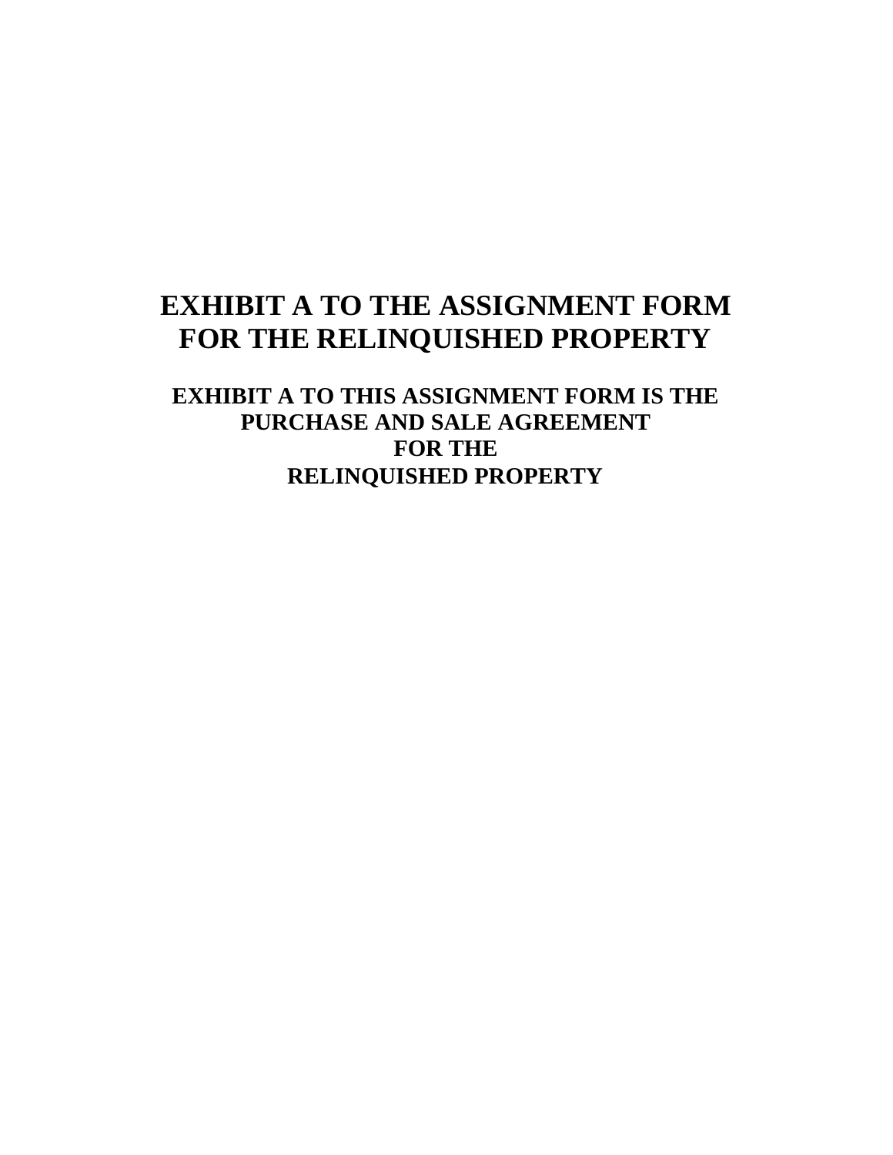# **EXHIBIT A TO THE ASSIGNMENT FORM FOR THE RELINQUISHED PROPERTY**

**EXHIBIT A TO THIS ASSIGNMENT FORM IS THE PURCHASE AND SALE AGREEMENT FOR THE RELINQUISHED PROPERTY**